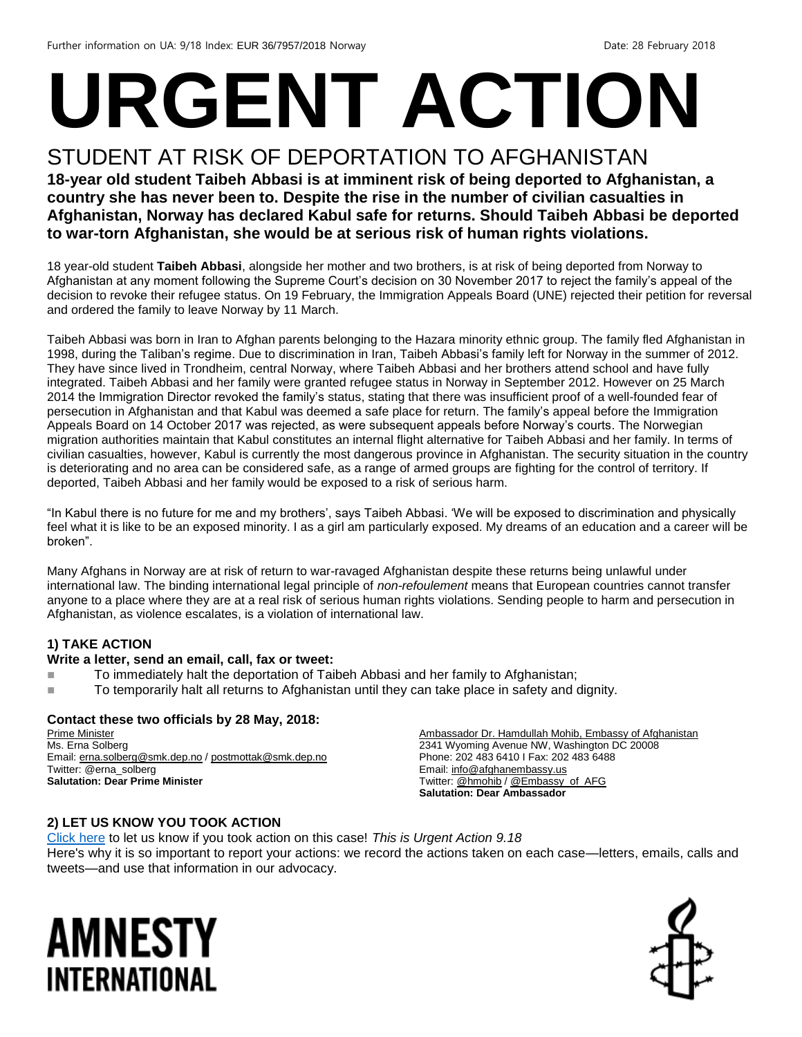# **URGENT ACTION**

## STUDENT AT RISK OF DEPORTATION TO AFGHANISTAN

**18-year old student Taibeh Abbasi is at imminent risk of being deported to Afghanistan, a country she has never been to. Despite the rise in the number of civilian casualties in Afghanistan, Norway has declared Kabul safe for returns. Should Taibeh Abbasi be deported to war-torn Afghanistan, she would be at serious risk of human rights violations.**

18 year-old student **Taibeh Abbasi**, alongside her mother and two brothers, is at risk of being deported from Norway to Afghanistan at any moment following the Supreme Court's decision on 30 November 2017 to reject the family's appeal of the decision to revoke their refugee status. On 19 February, the Immigration Appeals Board (UNE) rejected their petition for reversal and ordered the family to leave Norway by 11 March.

Taibeh Abbasi was born in Iran to Afghan parents belonging to the Hazara minority ethnic group. The family fled Afghanistan in 1998, during the Taliban's regime. Due to discrimination in Iran, Taibeh Abbasi's family left for Norway in the summer of 2012. They have since lived in Trondheim, central Norway, where Taibeh Abbasi and her brothers attend school and have fully integrated. Taibeh Abbasi and her family were granted refugee status in Norway in September 2012. However on 25 March 2014 the Immigration Director revoked the family's status, stating that there was insufficient proof of a well-founded fear of persecution in Afghanistan and that Kabul was deemed a safe place for return. The family's appeal before the Immigration Appeals Board on 14 October 2017 was rejected, as were subsequent appeals before Norway's courts. The Norwegian migration authorities maintain that Kabul constitutes an internal flight alternative for Taibeh Abbasi and her family. In terms of civilian casualties, however, Kabul is currently the most dangerous province in Afghanistan. The security situation in the country is deteriorating and no area can be considered safe, as a range of armed groups are fighting for the control of territory. If deported, Taibeh Abbasi and her family would be exposed to a risk of serious harm.

"In Kabul there is no future for me and my brothers', says Taibeh Abbasi. 'We will be exposed to discrimination and physically feel what it is like to be an exposed minority. I as a girl am particularly exposed. My dreams of an education and a career will be broken".

Many Afghans in Norway are at risk of return to war-ravaged Afghanistan despite these returns being unlawful under international law. The binding international legal principle of *non-refoulement* means that European countries cannot transfer anyone to a place where they are at a real risk of serious human rights violations. Sending people to harm and persecution in Afghanistan, as violence escalates, is a violation of international law.

#### **1) TAKE ACTION**

#### **Write a letter, send an email, call, fax or tweet:**

- To immediately halt the deportation of Taibeh Abbasi and her family to Afghanistan;
- To temporarily halt all returns to Afghanistan until they can take place in safety and dignity.

#### **Contact these two officials by 28 May, 2018:**

Prime Minister Ms. Erna Solberg Email[: erna.solberg@smk.dep.no](mailto:erna.solberg@smk.dep.no) / [postmottak@smk.dep.no](mailto:postmottak@smk.dep.no) Twitter: @erna\_solberg **Salutation: Dear Prime Minister**

Ambassador Dr. Hamdullah Mohib, Embassy of Afghanistan 2341 Wyoming Avenue NW, Washington DC 20008 Phone: 202 483 6410 I Fax: 202 483 6488 Email[: info@afghanembassy.us](mailto:info@afghanembassy.us) Twitter[: @hmohib](https://twitter.com/hmohib?ref_src=twsrc%5Egoogle%7Ctwcamp%5Eserp%7Ctwgr%5Eauthor) [/ @Embassy\\_of\\_AFG](https://twitter.com/embassy_of_afg?lang=en) **Salutation: Dear Ambassador**

#### **2) LET US KNOW YOU TOOK ACTION**

[Click here](https://www.amnestyusa.org/report-urgent-actions/) to let us know if you took action on this case! *This is Urgent Action 9.18* Here's why it is so important to report your actions: we record the actions taken on each case—letters, emails, calls and tweets—and use that information in our advocacy.